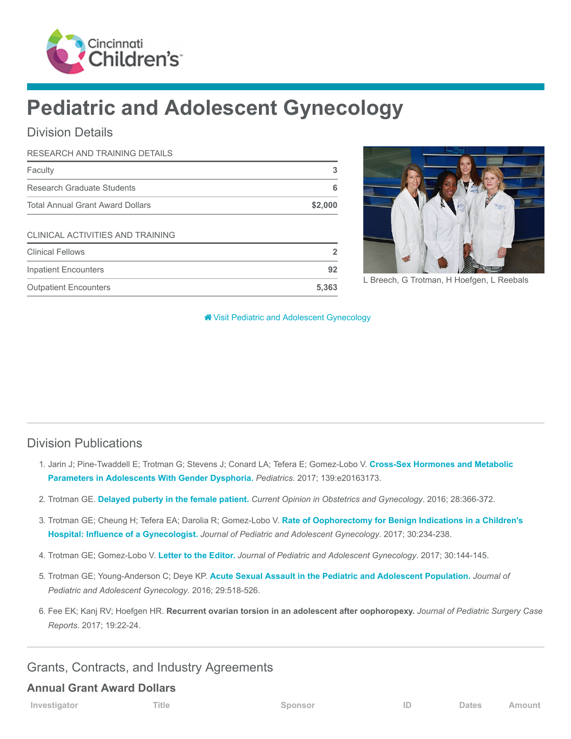

# Pediatric and Adolescent Gynecology

# Division Details

| RESEARCH AND TRAINING DETAILS           |         |
|-----------------------------------------|---------|
| Faculty                                 | 3       |
| Research Graduate Students              | 6       |
| <b>Total Annual Grant Award Dollars</b> | \$2,000 |
| CLINICAL ACTIVITIES AND TRAINING        |         |
| <b>Clinical Fellows</b>                 | 2       |
| <b>Inpatient Encounters</b>             | 92      |
| <b>Outpatient Encounters</b>            | 5,363   |



L Breech, G Trotman, H Hoefgen, L Reebals

**<sup>8</sup>** [Visit Pediatric and Adolescent Gynecology](https://www.cincinnatichildrens.org/research/divisions/p/gynecology)

### Division Publications

- 1. [Jarin J; Pine-Twaddell E; Trotman G; Stevens J; Conard LA; Tefera E; Gomez-Lobo V.](https://www.ncbi.nlm.nih.gov/pubmed/28557738) Cross-Sex Hormones and Metabolic Parameters in Adolescents With Gender Dysphoria. Pediatrics. 2017; 139:e20163173.
- 2. Trotman GE. [Delayed puberty in the female patient.](https://www.ncbi.nlm.nih.gov/pubmed/27454850) Current Opinion in Obstetrics and Gynecology. 2016; 28:366-372.
- 3. [Trotman GE; Cheung H; Tefera EA; Darolia R; Gomez-Lobo V.](https://www.ncbi.nlm.nih.gov/pubmed/27769688) Rate of Oophorectomy for Benign Indications in a Children's Hospital: Influence of a Gynecologist. Journal of Pediatric and Adolescent Gynecology. 2017; 30:234-238.
- 4. Trotman GE; Gomez-Lobo V. [Letter to the Editor.](https://www.ncbi.nlm.nih.gov/pubmed/24268558) Journal of Pediatric and Adolescent Gynecology. 2017; 30:144-145.
- 5. Trotman GE; Young-Anderson C; Deye KP. [Acute Sexual Assault in the Pediatric and Adolescent Population.](https://www.ncbi.nlm.nih.gov/pubmed/26702774) Journal of Pediatric and Adolescent Gynecology. 2016; 29:518-526.
- 6. Fee EK; Kanj RV; Hoefgen HR. Recurrent ovarian torsion in an adolescent after oophoropexy. Journal of Pediatric Surgery Case Reports. 2017; 19:22-24.

## Grants, Contracts, and Industry Agreements

#### Annual Grant Award Dollars